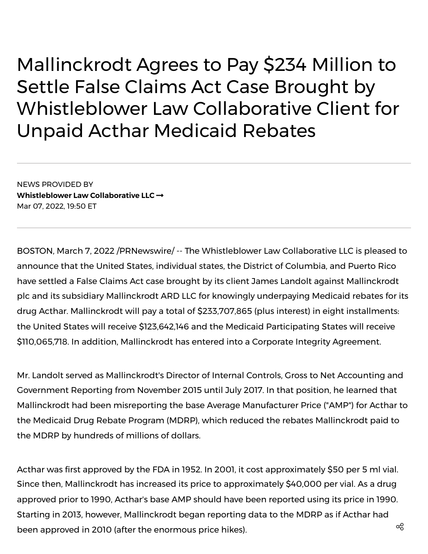Mallinckrodt Agrees to Pay \$234 Million to Settle False Claims Act Case Brought by Whistleblower Law Collaborative Client for Unpaid Acthar Medicaid Rebates

NEWS PROVIDED BY **[Whistleblower](https://www.prnewswire.com/news/whistleblower-law-collaborative-llc/) Law Collaborative LLC** Mar 07, 2022, 19:50 ET

BOSTON, March 7, 2022 /PRNewswire/ -- The [Whistleblower](https://c212.net/c/link/?t=0&l=en&o=3465286-1&h=1259837433&u=https%3A%2F%2Fwww.whistleblowerllc.com%2F&a=Whistleblower+Law+Collaborative+LLC) Law Collaborative LLC is pleased to announce that the United States, individual states, the District of Columbia, and Puerto Rico have settled a False [Claims](https://c212.net/c/link/?t=0&l=en&o=3465286-1&h=4240994367&u=https%3A%2F%2Fwww.whistleblowerllc.com%2Fresources%2Fwhistleblower-laws%2Fthe-federal-false-claims-act%2F&a=False+Claims+Act) Act case brought by its client James Landolt against Mallinckrodt plc and its subsidiary Mallinckrodt ARD LLC for knowingly underpaying Medicaid rebates for its drug Acthar. Mallinckrodt will pay a total of \$233,707,865 (plus interest) in eight installments: the United States will receive \$123,642,146 and the Medicaid Participating States will receive \$110,065,718. In addition, Mallinckrodt has entered into a Corporate Integrity Agreement.

Mr. Landolt served as Mallinckrodt's Director of Internal Controls, Gross to Net Accounting and Government Reporting from November 2015 until July 2017. In that position, he learned that Mallinckrodt had been misreporting the base Average Manufacturer Price ("AMP") for Acthar to the Medicaid Drug Rebate Program (MDRP), which reduced the rebates Mallinckrodt paid to the MDRP by hundreds of millions of dollars.

Acthar was first approved by the FDA in 1952. In 2001, it cost approximately \$50 per 5 ml vial. Since then, Mallinckrodt has increased its price to approximately \$40,000 per vial. As a drug approved prior to 1990, Acthar's base AMP should have been reported using its price in 1990. Starting in 2013, however, Mallinckrodt began reporting data to the MDRP as if Acthar had been approved in 2010 (after the enormous price hikes).  $^{\circledR}$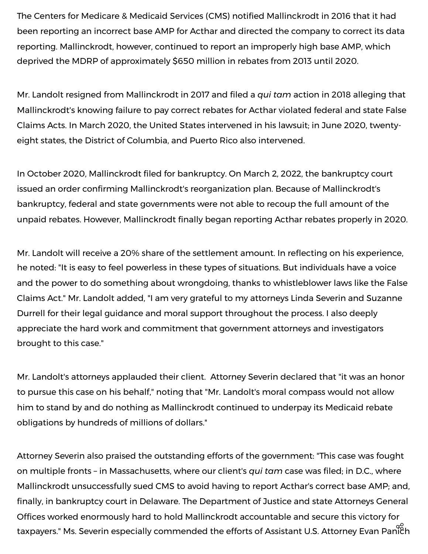The Centers for Medicare & Medicaid Services (CMS) notified Mallinckrodt in 2016 that it had been reporting an incorrect base AMP for Acthar and directed the company to correct its data reporting. Mallinckrodt, however, continued to report an improperly high base AMP, which deprived the MDRP of approximately \$650 million in rebates from 2013 until 2020.

Mr. Landolt resigned from Mallinckrodt in 2017 and filed a *qui tam* action in 2018 alleging that Mallinckrodt's knowing failure to pay correct rebates for Acthar violated federal and state False Claims Acts. In March 2020, the United States intervened in his lawsuit; in June 2020, twentyeight states, the District of Columbia, and Puerto Rico also intervened.

In October 2020, Mallinckrodt filed for bankruptcy. On March 2, 2022, the bankruptcy court issued an order confirming Mallinckrodt's reorganization plan. Because of Mallinckrodt's bankruptcy, federal and state governments were not able to recoup the full amount of the unpaid rebates. However, Mallinckrodt finally began reporting Acthar rebates properly in 2020.

Mr. Landolt will receive a 20% share of the settlement amount. In reflecting on his experience, he noted: "It is easy to feel powerless in these types of situations. But individuals have a voice and the power to do something about wrongdoing, thanks to whistleblower laws like the False Claims Act." Mr. Landolt added, "I am very grateful to my attorneys Linda [Severin](https://c212.net/c/link/?t=0&l=en&o=3465286-1&h=1644213318&u=https%3A%2F%2Fwww.whistleblowerllc.com%2Fattorney%2Flinda-severin%2F&a=Linda+Severin) and Suzanne Durrell for their legal guidance and moral support [throughout](https://c212.net/c/link/?t=0&l=en&o=3465286-1&h=694135332&u=https%3A%2F%2Fwww.whistleblowerllc.com%2Fattorney%2Fsuzanne-durrell%2F&a=Suzanne+Durrell) the process. I also deeply appreciate the hard work and commitment that government attorneys and investigators brought to this case."

Mr. Landolt's attorneys applauded their client. Attorney Severin declared that "it was an honor to pursue this case on his behalf," noting that "Mr. Landolt's moral compass would not allow him to stand by and do nothing as Mallinckrodt continued to underpay its Medicaid rebate obligations by hundreds of millions of dollars."

Attorney Severin also praised the outstanding efforts of the government: "This case was fought on multiple fronts – in Massachusetts, where our client's *qui tam* case was filed; in D.C., where Mallinckrodt unsuccessfully sued CMS to avoid having to report Acthar's correct base AMP; and, finally, in bankruptcy court in Delaware. The Department of Justice and state Attorneys General Offices worked enormously hard to hold Mallinckrodt accountable and secure this victory for taxpayers." Ms. Severin especially commended the efforts of Assistant U.S. Attorney Evan Panich